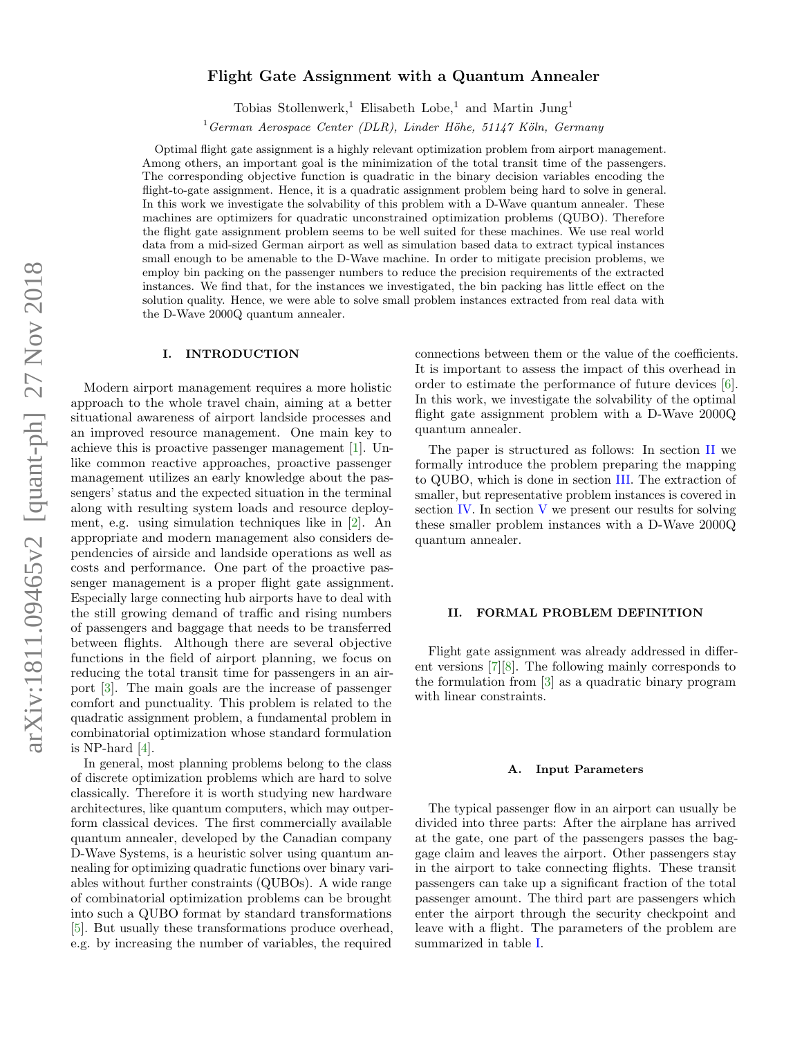# arXiv:1811.09465v2 [quant-ph] 27 Nov 2018 arXiv:1811.09465v2 [quant-ph] 27 Nov 2018

# Flight Gate Assignment with a Quantum Annealer

Tobias Stollenwerk,<sup>1</sup> Elisabeth Lobe,<sup>1</sup> and Martin Jung<sup>1</sup>

 $1$ German Aerospace Center (DLR), Linder Höhe, 51147 Köln, Germany

Optimal flight gate assignment is a highly relevant optimization problem from airport management. Among others, an important goal is the minimization of the total transit time of the passengers. The corresponding objective function is quadratic in the binary decision variables encoding the flight-to-gate assignment. Hence, it is a quadratic assignment problem being hard to solve in general. In this work we investigate the solvability of this problem with a D-Wave quantum annealer. These machines are optimizers for quadratic unconstrained optimization problems (QUBO). Therefore the flight gate assignment problem seems to be well suited for these machines. We use real world data from a mid-sized German airport as well as simulation based data to extract typical instances small enough to be amenable to the D-Wave machine. In order to mitigate precision problems, we employ bin packing on the passenger numbers to reduce the precision requirements of the extracted instances. We find that, for the instances we investigated, the bin packing has little effect on the solution quality. Hence, we were able to solve small problem instances extracted from real data with the D-Wave 2000Q quantum annealer.

# I. INTRODUCTION

Modern airport management requires a more holistic approach to the whole travel chain, aiming at a better situational awareness of airport landside processes and an improved resource management. One main key to achieve this is proactive passenger management [\[1\]](#page-6-0). Unlike common reactive approaches, proactive passenger management utilizes an early knowledge about the passengers' status and the expected situation in the terminal along with resulting system loads and resource deployment, e.g. using simulation techniques like in [\[2\]](#page-6-1). An appropriate and modern management also considers dependencies of airside and landside operations as well as costs and performance. One part of the proactive passenger management is a proper flight gate assignment. Especially large connecting hub airports have to deal with the still growing demand of traffic and rising numbers of passengers and baggage that needs to be transferred between flights. Although there are several objective functions in the field of airport planning, we focus on reducing the total transit time for passengers in an airport [\[3\]](#page-6-2). The main goals are the increase of passenger comfort and punctuality. This problem is related to the quadratic assignment problem, a fundamental problem in combinatorial optimization whose standard formulation is NP-hard [\[4\]](#page-6-3).

In general, most planning problems belong to the class of discrete optimization problems which are hard to solve classically. Therefore it is worth studying new hardware architectures, like quantum computers, which may outperform classical devices. The first commercially available quantum annealer, developed by the Canadian company D-Wave Systems, is a heuristic solver using quantum annealing for optimizing quadratic functions over binary variables without further constraints (QUBOs). A wide range of combinatorial optimization problems can be brought into such a QUBO format by standard transformations [\[5\]](#page-6-4). But usually these transformations produce overhead, e.g. by increasing the number of variables, the required

connections between them or the value of the coefficients. It is important to assess the impact of this overhead in order to estimate the performance of future devices [\[6\]](#page-6-5). In this work, we investigate the solvability of the optimal flight gate assignment problem with a D-Wave 2000Q quantum annealer.

The paper is structured as follows: In section [II](#page-0-0) we formally introduce the problem preparing the mapping to QUBO, which is done in section [III.](#page-1-0) The extraction of smaller, but representative problem instances is covered in section [IV.](#page-2-0) In section [V](#page-4-0) we present our results for solving these smaller problem instances with a D-Wave 2000Q quantum annealer.

# <span id="page-0-0"></span>II. FORMAL PROBLEM DEFINITION

Flight gate assignment was already addressed in different versions [\[7\]](#page-6-6)[\[8\]](#page-6-7). The following mainly corresponds to the formulation from [\[3\]](#page-6-2) as a quadratic binary program with linear constraints.

### A. Input Parameters

The typical passenger flow in an airport can usually be divided into three parts: After the airplane has arrived at the gate, one part of the passengers passes the baggage claim and leaves the airport. Other passengers stay in the airport to take connecting flights. These transit passengers can take up a significant fraction of the total passenger amount. The third part are passengers which enter the airport through the security checkpoint and leave with a flight. The parameters of the problem are summarized in table [I.](#page-1-1)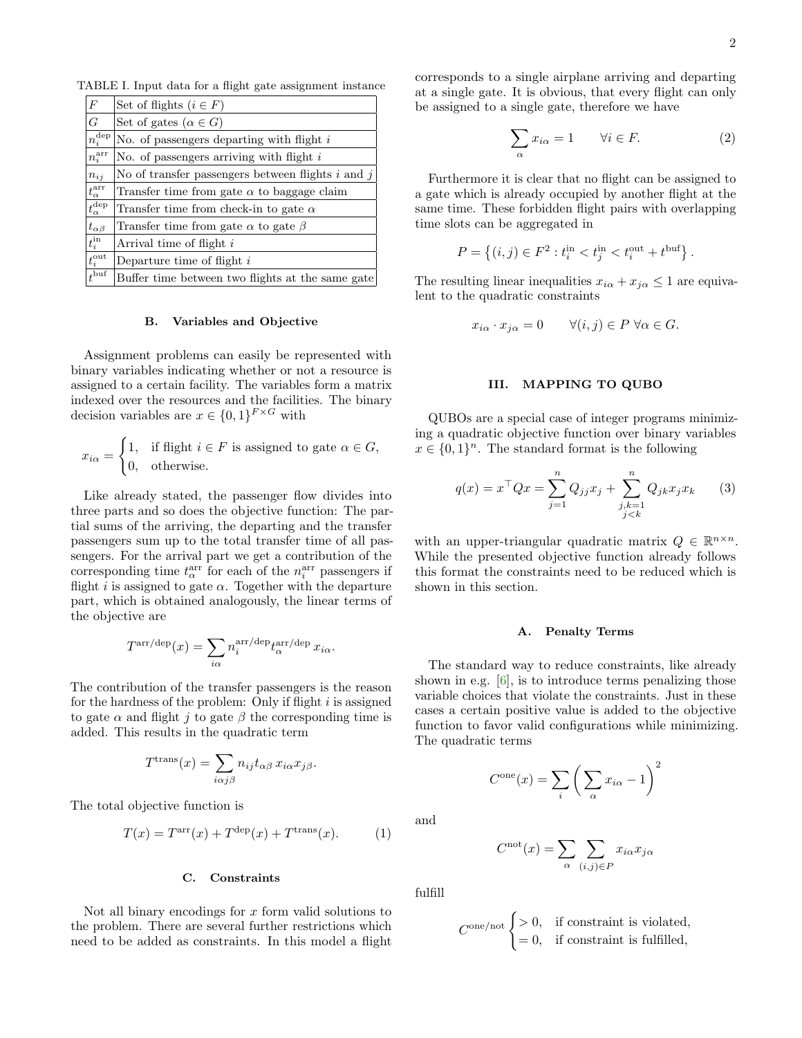TABLE I. Input data for a flight gate assignment instance

<span id="page-1-1"></span>

| $F_{\rm}$               | Set of flights $(i \in F)$                            |
|-------------------------|-------------------------------------------------------|
| G                       | Set of gates $(\alpha \in G)$                         |
| $n_i^{\text{dep}}$      | No. of passengers departing with flight $i$           |
| $n_i^{\rm arr}$         | No. of passengers arriving with flight $i$            |
| $n_{i,i}$               | No of transfer passengers between flights $i$ and $j$ |
| $t_\alpha^\text{arr}$   | Transfer time from gate $\alpha$ to baggage claim     |
| $t_\alpha^\mathrm{dep}$ | Transfer time from check-in to gate $\alpha$          |
| $t_{\alpha\beta}$       | Transfer time from gate $\alpha$ to gate $\beta$      |
| $t_i^{\rm in}$          | Arrival time of flight i                              |
| $t_i^{\text{out}}$      | Departure time of flight $i$                          |
| $t^{\text{buf}}$        | Buffer time between two flights at the same gate      |

#### B. Variables and Objective

Assignment problems can easily be represented with binary variables indicating whether or not a resource is assigned to a certain facility. The variables form a matrix indexed over the resources and the facilities. The binary decision variables are  $x \in \{0,1\}^{F \times G}$  with

$$
x_{i\alpha} = \begin{cases} 1, & \text{if flight } i \in F \text{ is assigned to gate } \alpha \in G, \\ 0, & \text{otherwise.} \end{cases}
$$

Like already stated, the passenger flow divides into three parts and so does the objective function: The partial sums of the arriving, the departing and the transfer passengers sum up to the total transfer time of all passengers. For the arrival part we get a contribution of the corresponding time  $t_\alpha^{\rm arr}$  for each of the  $n_i^{\rm arr}$  passengers if flight i is assigned to gate  $\alpha$ . Together with the departure part, which is obtained analogously, the linear terms of the objective are

$$
T^{\text{arr/dep}}(x) = \sum_{i\alpha} n_i^{\text{arr/dep}} t_{\alpha}^{\text{arr/dep}} x_{i\alpha}.
$$

The contribution of the transfer passengers is the reason for the hardness of the problem: Only if flight  $i$  is assigned to gate  $\alpha$  and flight j to gate  $\beta$  the corresponding time is added. This results in the quadratic term

$$
T^{\text{trans}}(x) = \sum_{i\alpha j\beta} n_{ij} t_{\alpha\beta} \, x_{i\alpha} x_{j\beta}.
$$

The total objective function is

$$
T(x) = Tarr(x) + Tdep(x) + Ttrans(x).
$$
 (1)

#### C. Constraints

Not all binary encodings for  $x$  form valid solutions to the problem. There are several further restrictions which need to be added as constraints. In this model a flight

corresponds to a single airplane arriving and departing at a single gate. It is obvious, that every flight can only be assigned to a single gate, therefore we have

<span id="page-1-3"></span>
$$
\sum_{\alpha} x_{i\alpha} = 1 \qquad \forall i \in F. \tag{2}
$$

Furthermore it is clear that no flight can be assigned to a gate which is already occupied by another flight at the same time. These forbidden flight pairs with overlapping time slots can be aggregated in

$$
P = \left\{ (i, j) \in F^2 : t_i^{\text{in}} < t_j^{\text{in}} < t_i^{\text{out}} + t^{\text{buf}} \right\}.
$$

The resulting linear inequalities  $x_{i\alpha} + x_{j\alpha} \leq 1$  are equivalent to the quadratic constraints

$$
x_{i\alpha} \cdot x_{j\alpha} = 0 \qquad \forall (i, j) \in P \ \forall \alpha \in G.
$$

## <span id="page-1-4"></span><span id="page-1-0"></span>III. MAPPING TO QUBO

QUBOs are a special case of integer programs minimizing a quadratic objective function over binary variables  $x \in \{0,1\}^n$ . The standard format is the following

$$
q(x) = x^{\top} Q x = \sum_{j=1}^{n} Q_{jj} x_j + \sum_{\substack{j,k=1 \ j < k}}^{n} Q_{jk} x_j x_k
$$
 (3)

with an upper-triangular quadratic matrix  $Q \in \mathbb{R}^{n \times n}$ . While the presented objective function already follows this format the constraints need to be reduced which is shown in this section.

#### A. Penalty Terms

The standard way to reduce constraints, like already shown in e.g. [\[6\]](#page-6-5), is to introduce terms penalizing those variable choices that violate the constraints. Just in these cases a certain positive value is added to the objective function to favor valid configurations while minimizing. The quadratic terms

$$
C^{\text{one}}(x) = \sum_{i} \left( \sum_{\alpha} x_{i\alpha} - 1 \right)^2
$$

<span id="page-1-2"></span>and

$$
C^{\text{not}}(x) = \sum_{\alpha} \sum_{(i,j) \in P} x_{i\alpha} x_{j\alpha}
$$

fulfill

$$
C^{\text{one}/\text{not}}\begin{cases} > 0, & \text{if constraint is violated,} \\ = 0, & \text{if constraint is fulfilled,} \end{cases}
$$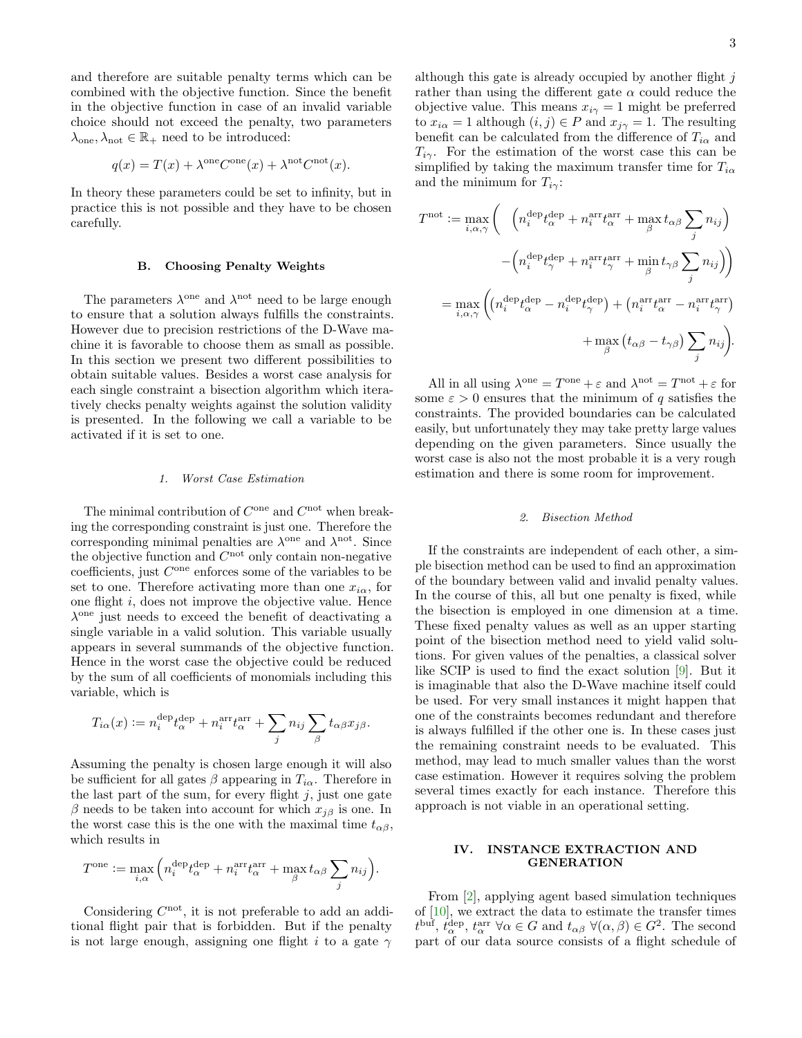and therefore are suitable penalty terms which can be combined with the objective function. Since the benefit in the objective function in case of an invalid variable choice should not exceed the penalty, two parameters  $\lambda_{one}, \lambda_{not} \in \mathbb{R}_+$  need to be introduced:

$$
q(x) = T(x) + \lambda^{\text{one}} C^{\text{one}}(x) + \lambda^{\text{not}} C^{\text{not}}(x).
$$

In theory these parameters could be set to infinity, but in practice this is not possible and they have to be chosen carefully.

## B. Choosing Penalty Weights

The parameters  $\lambda^{\text{one}}$  and  $\lambda^{\text{not}}$  need to be large enough to ensure that a solution always fulfills the constraints. However due to precision restrictions of the D-Wave machine it is favorable to choose them as small as possible. In this section we present two different possibilities to obtain suitable values. Besides a worst case analysis for each single constraint a bisection algorithm which iteratively checks penalty weights against the solution validity is presented. In the following we call a variable to be activated if it is set to one.

#### 1. Worst Case Estimation

The minimal contribution of  $C^{\text{one}}$  and  $C^{\text{not}}$  when breaking the corresponding constraint is just one. Therefore the corresponding minimal penalties are  $\lambda^{\text{one}}$  and  $\lambda^{\text{not}}$ . Since the objective function and  $C^{\text{not}}$  only contain non-negative  $coefficients$ , just  $C<sup>one</sup>$  enforces some of the variables to be set to one. Therefore activating more than one  $x_{i\alpha}$ , for one flight i, does not improve the objective value. Hence λ one just needs to exceed the benefit of deactivating a single variable in a valid solution. This variable usually appears in several summands of the objective function. Hence in the worst case the objective could be reduced by the sum of all coefficients of monomials including this variable, which is

$$
T_{i\alpha}(x) := n_i^{\text{dep}} t_{\alpha}^{\text{dep}} + n_i^{\text{arr}} t_{\alpha}^{\text{arr}} + \sum_j n_{ij} \sum_{\beta} t_{\alpha\beta} x_{j\beta}.
$$

Assuming the penalty is chosen large enough it will also be sufficient for all gates  $\beta$  appearing in  $T_{i\alpha}$ . Therefore in the last part of the sum, for every flight  $j$ , just one gate β needs to be taken into account for which  $x_{iβ}$  is one. In the worst case this is the one with the maximal time  $t_{\alpha\beta}$ , which results in

$$
T^{\text{one}} := \max_{i,\alpha} \left( n_i^{\text{dep}} t_{\alpha}^{\text{dep}} + n_i^{\text{arr}} t_{\alpha}^{\text{arr}} + \max_{\beta} t_{\alpha\beta} \sum_j n_{ij} \right).
$$

Considering  $C<sup>not</sup>$ , it is not preferable to add an additional flight pair that is forbidden. But if the penalty is not large enough, assigning one flight i to a gate  $\gamma$ 

although this gate is already occupied by another flight  $j$ rather than using the different gate  $\alpha$  could reduce the objective value. This means  $x_{i\gamma} = 1$  might be preferred to  $x_{i\alpha} = 1$  although  $(i, j) \in P$  and  $x_{i\gamma} = 1$ . The resulting benefit can be calculated from the difference of  $T_{i\alpha}$  and  $T_{i\gamma}$ . For the estimation of the worst case this can be simplified by taking the maximum transfer time for  $T_{i\alpha}$ and the minimum for  $T_{i\gamma}$ :

$$
T^{\text{not}} := \max_{i,\alpha,\gamma} \left( \begin{array}{c} \left( n_i^{\text{dep}} t_\alpha^{\text{dep}} + n_i^{\text{arr}} t_\alpha^{\text{arr}} + \max_{\beta} t_{\alpha \beta} \sum_j n_{ij} \right) \\ - \left( n_i^{\text{dep}} t_\gamma^{\text{dep}} + n_i^{\text{arr}} t_\gamma^{\text{arr}} + \min_{\beta} t_{\gamma \beta} \sum_j n_{ij} \right) \right) \\ = \max_{i,\alpha,\gamma} \left( \left( n_i^{\text{dep}} t_\alpha^{\text{dep}} - n_i^{\text{dep}} t_\gamma^{\text{dep}} \right) + \left( n_i^{\text{arr}} t_\alpha^{\text{arr}} - n_i^{\text{arr}} t_\gamma^{\text{arr}} \right) \\ + \max_{\beta} \left( t_{\alpha \beta} - t_{\gamma \beta} \right) \sum_j n_{ij} \right).
$$

All in all using  $\lambda^{\text{one}} = T^{\text{one}} + \varepsilon$  and  $\lambda^{\text{not}} = T^{\text{not}} + \varepsilon$  for some  $\varepsilon > 0$  ensures that the minimum of q satisfies the constraints. The provided boundaries can be calculated easily, but unfortunately they may take pretty large values depending on the given parameters. Since usually the worst case is also not the most probable it is a very rough estimation and there is some room for improvement.

#### <span id="page-2-1"></span>2. Bisection Method

If the constraints are independent of each other, a simple bisection method can be used to find an approximation of the boundary between valid and invalid penalty values. In the course of this, all but one penalty is fixed, while the bisection is employed in one dimension at a time. These fixed penalty values as well as an upper starting point of the bisection method need to yield valid solutions. For given values of the penalties, a classical solver like SCIP is used to find the exact solution [\[9\]](#page-6-8). But it is imaginable that also the D-Wave machine itself could be used. For very small instances it might happen that one of the constraints becomes redundant and therefore is always fulfilled if the other one is. In these cases just the remaining constraint needs to be evaluated. This method, may lead to much smaller values than the worst case estimation. However it requires solving the problem several times exactly for each instance. Therefore this approach is not viable in an operational setting.

# <span id="page-2-0"></span>IV. INSTANCE EXTRACTION AND GENERATION

From [\[2\]](#page-6-1), applying agent based simulation techniques of [\[10\]](#page-6-9), we extract the data to estimate the transfer times  $t^{\text{buf}}, t_\alpha^{\text{dep}}, t_\alpha^{\text{arr}} \ \forall \alpha \in G \text{ and } t_{\alpha\beta} \ \forall (\alpha, \beta) \in G^2$ . The second part of our data source consists of a flight schedule of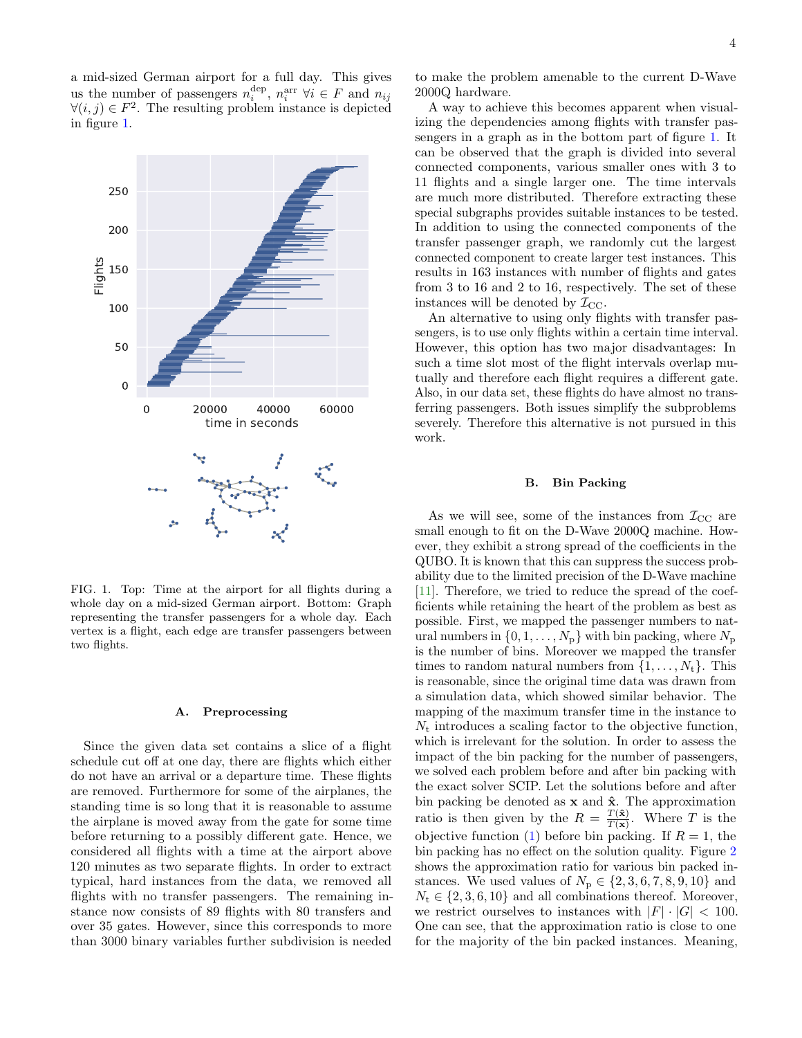a mid-sized German airport for a full day. This gives us the number of passengers  $n_i^{\text{dep}}, n_i^{\text{arr}} \forall i \in F$  and  $n_{ij}$  $\forall (i, j) \in F^2$ . The resulting problem instance is depicted in figure [1.](#page-3-0)



<span id="page-3-0"></span>FIG. 1. Top: Time at the airport for all flights during a whole day on a mid-sized German airport. Bottom: Graph representing the transfer passengers for a whole day. Each vertex is a flight, each edge are transfer passengers between two flights.

#### A. Preprocessing

Since the given data set contains a slice of a flight schedule cut off at one day, there are flights which either do not have an arrival or a departure time. These flights are removed. Furthermore for some of the airplanes, the standing time is so long that it is reasonable to assume the airplane is moved away from the gate for some time before returning to a possibly different gate. Hence, we considered all flights with a time at the airport above 120 minutes as two separate flights. In order to extract typical, hard instances from the data, we removed all flights with no transfer passengers. The remaining instance now consists of 89 flights with 80 transfers and over 35 gates. However, since this corresponds to more than 3000 binary variables further subdivision is needed

to make the problem amenable to the current D-Wave

2000Q hardware. A way to achieve this becomes apparent when visualizing the dependencies among flights with transfer passengers in a graph as in the bottom part of figure [1.](#page-3-0) It can be observed that the graph is divided into several connected components, various smaller ones with 3 to 11 flights and a single larger one. The time intervals are much more distributed. Therefore extracting these special subgraphs provides suitable instances to be tested. In addition to using the connected components of the transfer passenger graph, we randomly cut the largest connected component to create larger test instances. This results in 163 instances with number of flights and gates from 3 to 16 and 2 to 16, respectively. The set of these instances will be denoted by  $\mathcal{I}_{\text{CC}}$ .

An alternative to using only flights with transfer passengers, is to use only flights within a certain time interval. However, this option has two major disadvantages: In such a time slot most of the flight intervals overlap mutually and therefore each flight requires a different gate. Also, in our data set, these flights do have almost no transferring passengers. Both issues simplify the subproblems severely. Therefore this alternative is not pursued in this work.

#### B. Bin Packing

As we will see, some of the instances from  $\mathcal{I}_{\text{CC}}$  are small enough to fit on the D-Wave 2000Q machine. However, they exhibit a strong spread of the coefficients in the QUBO. It is known that this can suppress the success probability due to the limited precision of the D-Wave machine [\[11\]](#page-6-10). Therefore, we tried to reduce the spread of the coefficients while retaining the heart of the problem as best as possible. First, we mapped the passenger numbers to natural numbers in  $\{0, 1, \ldots, N_{p}\}\$  with bin packing, where  $N_{p}$ is the number of bins. Moreover we mapped the transfer times to random natural numbers from  $\{1, \ldots, N_t\}$ . This is reasonable, since the original time data was drawn from a simulation data, which showed similar behavior. The mapping of the maximum transfer time in the instance to  $N_t$  introduces a scaling factor to the objective function, which is irrelevant for the solution. In order to assess the impact of the bin packing for the number of passengers, we solved each problem before and after bin packing with the exact solver SCIP. Let the solutions before and after bin packing be denoted as  $x$  and  $\hat{x}$ . The approximation ratio is then given by the  $R = \frac{T(\hat{\mathbf{x}})}{T(\mathbf{x})}$  $\frac{T(\mathbf{x})}{T(\mathbf{x})}$ . Where T is the objective function [\(1\)](#page-1-2) before bin packing. If  $R = 1$ , the bin packing has no effect on the solution quality. Figure [2](#page-4-1) shows the approximation ratio for various bin packed instances. We used values of  $N_{p} \in \{2, 3, 6, 7, 8, 9, 10\}$  and  $N_t \in \{2, 3, 6, 10\}$  and all combinations thereof. Moreover, we restrict ourselves to instances with  $|F| \cdot |G| < 100$ . One can see, that the approximation ratio is close to one for the majority of the bin packed instances. Meaning,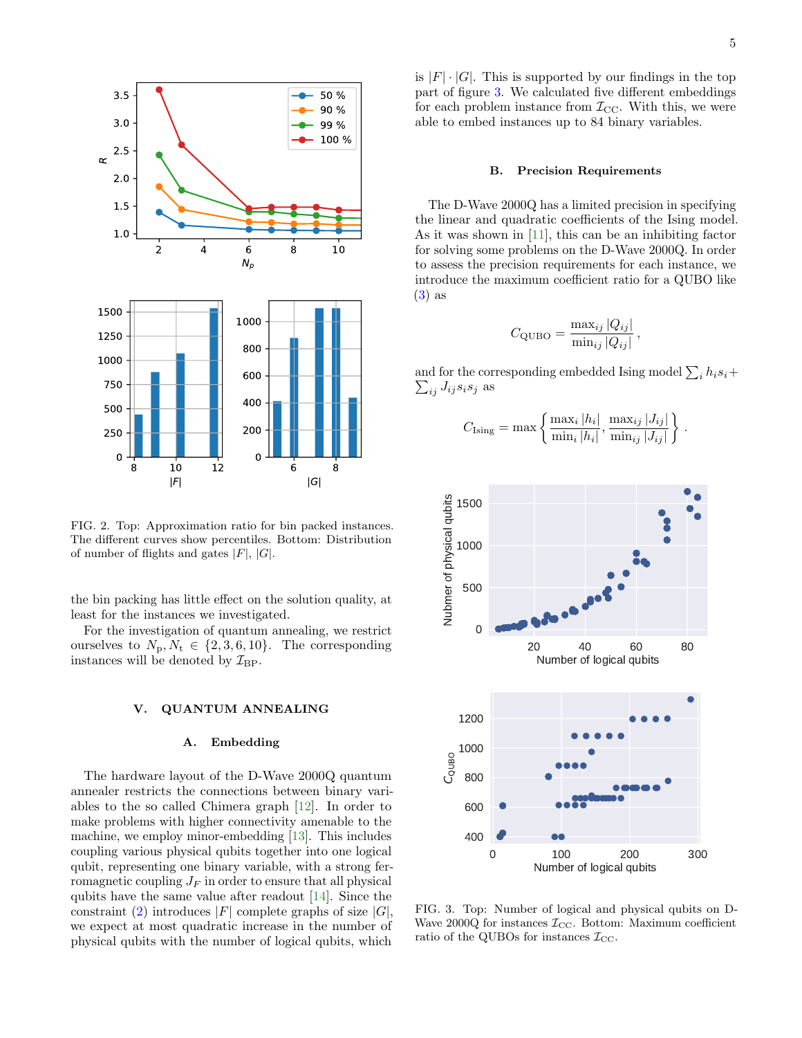

<span id="page-4-1"></span>FIG. 2. Top: Approximation ratio for bin packed instances. The different curves show percentiles. Bottom: Distribution of number of flights and gates  $|F|, |G|$ .

the bin packing has little effect on the solution quality, at least for the instances we investigated.

For the investigation of quantum annealing, we restrict ourselves to  $N_{p}$ ,  $N_{t} \in \{2, 3, 6, 10\}$ . The corresponding instances will be denoted by  $\mathcal{I}_{\text{BP}}$ .

# <span id="page-4-0"></span>V. QUANTUM ANNEALING

### A. Embedding

The hardware layout of the D-Wave 2000Q quantum annealer restricts the connections between binary variables to the so called Chimera graph [\[12\]](#page-6-11). In order to make problems with higher connectivity amenable to the machine, we employ minor-embedding [\[13\]](#page-6-12). This includes coupling various physical qubits together into one logical qubit, representing one binary variable, with a strong ferromagnetic coupling  $J_F$  in order to ensure that all physical qubits have the same value after readout [\[14\]](#page-6-13). Since the constraint [\(2\)](#page-1-3) introduces  $|F|$  complete graphs of size  $|G|$ , we expect at most quadratic increase in the number of physical qubits with the number of logical qubits, which

is  $|F| \cdot |G|$ . This is supported by our findings in the top part of figure [3.](#page-4-2) We calculated five different embeddings for each problem instance from  $\mathcal{I}_{CC}$ . With this, we were able to embed instances up to 84 binary variables.

### B. Precision Requirements

The D-Wave 2000Q has a limited precision in specifying the linear and quadratic coefficients of the Ising model. As it was shown in [\[11\]](#page-6-10), this can be an inhibiting factor for solving some problems on the D-Wave 2000Q. In order to assess the precision requirements for each instance, we introduce the maximum coefficient ratio for a QUBO like [\(3\)](#page-1-4) as

$$
C_{\text{QUBO}} = \frac{\max_{ij} |Q_{ij}|}{\min_{ij} |Q_{ij}|},
$$

and for the corresponding embedded Ising model  $\sum_i h_i s_i +$  $\sum_{ij} J_{ij} s_i s_j$  as

$$
C_{\text{Ising}} = \max \left\{ \frac{\max_{i} |h_{i}|}{\min_{i} |h_{i}|}, \frac{\max_{ij} |J_{ij}|}{\min_{ij} |J_{ij}|} \right\}
$$

.



<span id="page-4-2"></span>FIG. 3. Top: Number of logical and physical qubits on D-Wave 2000Q for instances  $\mathcal{I}_{\text{CC}}$ . Bottom: Maximum coefficient ratio of the QUBOs for instances  $\mathcal{I}_{\text{CC}}$ .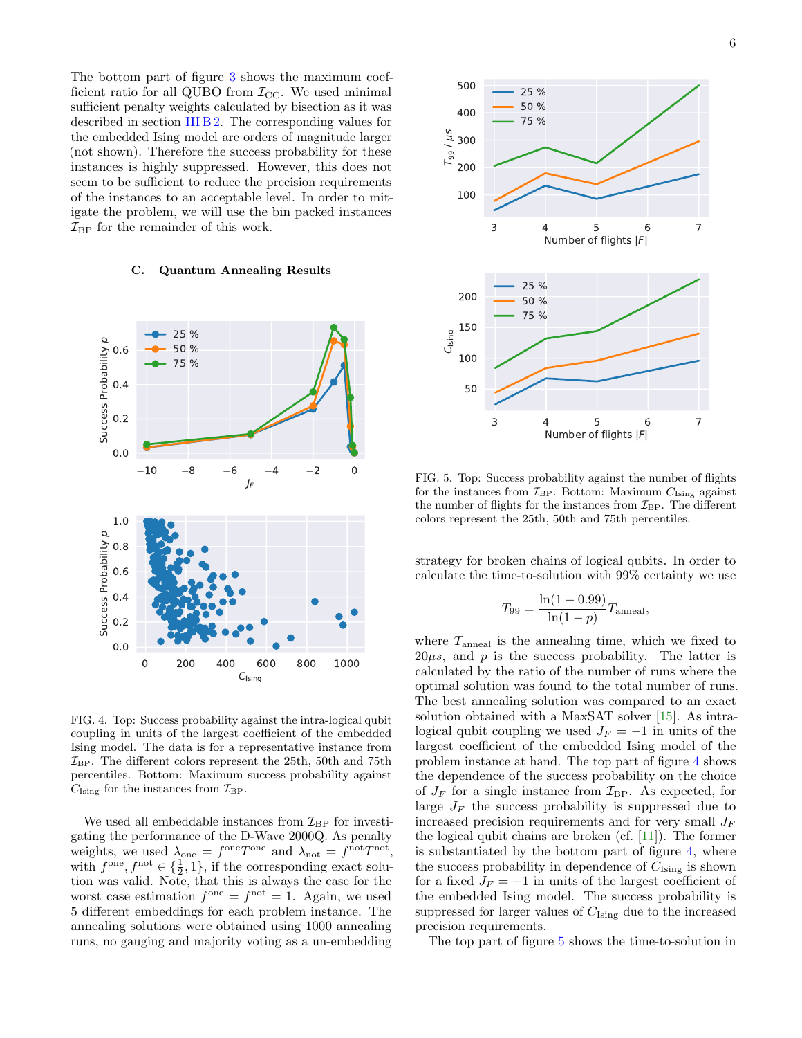The bottom part of figure [3](#page-4-2) shows the maximum coefficient ratio for all QUBO from  $\mathcal{I}_{\text{CC}}$ . We used minimal sufficient penalty weights calculated by bisection as it was described in section [III B 2.](#page-2-1) The corresponding values for the embedded Ising model are orders of magnitude larger (not shown). Therefore the success probability for these instances is highly suppressed. However, this does not seem to be sufficient to reduce the precision requirements of the instances to an acceptable level. In order to mitigate the problem, we will use the bin packed instances  $\mathcal{I}_{\text{BP}}$  for the remainder of this work.

#### C. Quantum Annealing Results



<span id="page-5-0"></span>FIG. 4. Top: Success probability against the intra-logical qubit coupling in units of the largest coefficient of the embedded Ising model. The data is for a representative instance from  $\mathcal{I}_{\text{BP}}$ . The different colors represent the 25th, 50th and 75th percentiles. Bottom: Maximum success probability against  $C_{\text{Ising}}$  for the instances from  $\mathcal{I}_{\text{BP}}$ .

We used all embeddable instances from  $\mathcal{I}_{\text{BP}}$  for investigating the performance of the D-Wave 2000Q. As penalty weights, we used  $\lambda_{one} = f^{\text{one}} T^{\text{one}}$  and  $\lambda_{\text{not}} = f^{\text{not}} T^{\text{not}}$ , with  $f^{\text{one}}, f^{\text{not}} \in {\frac{1}{2}, 1}$ , if the corresponding exact solution was valid. Note, that this is always the case for the worst case estimation  $f^{\text{one}} = f^{\text{not}} = 1$ . Again, we used 5 different embeddings for each problem instance. The annealing solutions were obtained using 1000 annealing runs, no gauging and majority voting as a un-embedding



<span id="page-5-1"></span>FIG. 5. Top: Success probability against the number of flights for the instances from  $\mathcal{I}_{\text{BP}}$ . Bottom: Maximum  $C_{\text{Ising}}$  against the number of flights for the instances from  $\mathcal{I}_{\text{BP}}$ . The different colors represent the 25th, 50th and 75th percentiles.

strategy for broken chains of logical qubits. In order to calculate the time-to-solution with 99% certainty we use

$$
T_{99} = \frac{\ln(1 - 0.99)}{\ln(1 - p)} T_{\text{anneal}},
$$

where  $T_{\text{anneal}}$  is the annealing time, which we fixed to  $20\mu s$ , and p is the success probability. The latter is calculated by the ratio of the number of runs where the optimal solution was found to the total number of runs. The best annealing solution was compared to an exact solution obtained with a MaxSAT solver [\[15\]](#page-6-14). As intralogical qubit coupling we used  $J_F = -1$  in units of the largest coefficient of the embedded Ising model of the problem instance at hand. The top part of figure [4](#page-5-0) shows the dependence of the success probability on the choice of  $J_F$  for a single instance from  $\mathcal{I}_{\text{BP}}$ . As expected, for large  $J_F$  the success probability is suppressed due to increased precision requirements and for very small  $J_F$ the logical qubit chains are broken (cf. [\[11\]](#page-6-10)). The former is substantiated by the bottom part of figure [4,](#page-5-0) where the success probability in dependence of  $C_{\text{Ising}}$  is shown for a fixed  $J_F = -1$  in units of the largest coefficient of the embedded Ising model. The success probability is suppressed for larger values of  $C_{\text{Ising}}$  due to the increased precision requirements.

The top part of figure [5](#page-5-1) shows the time-to-solution in